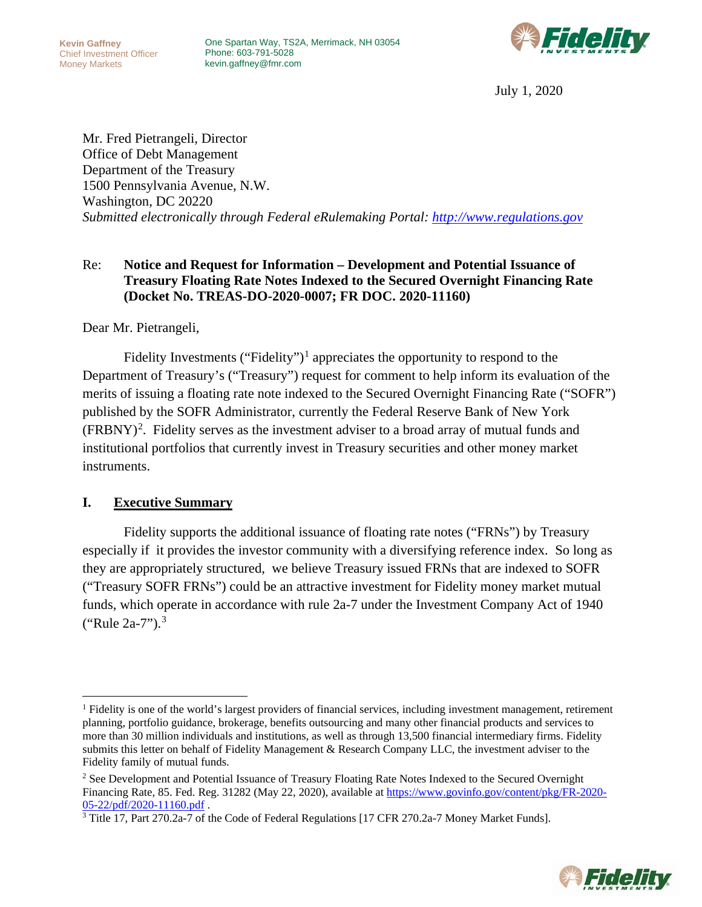One Spartan Way, TS2A, Merrimack, NH 03054 Phone: 603-791-5028 kevin.gaffney@fmr.com



July 1, 2020

Mr. Fred Pietrangeli, Director Office of Debt Management Department of the Treasury 1500 Pennsylvania Avenue, N.W. Washington, DC 20220 *Submitted electronically through Federal eRulemaking Portal: [http://www.regulations.gov](http://www.regulations.gov/)*

## Re: **Notice and Request for Information – Development and Potential Issuance of Treasury Floating Rate Notes Indexed to the Secured Overnight Financing Rate (Docket No. TREAS-DO-2020-0007; FR DOC. 2020-11160)**

Dear Mr. Pietrangeli,

Fidelity Investments ("Fidelity")<sup>[1](#page-0-0)</sup> appreciates the opportunity to respond to the Department of Treasury's ("Treasury") request for comment to help inform its evaluation of the merits of issuing a floating rate note indexed to the Secured Overnight Financing Rate ("SOFR") published by the SOFR Administrator, currently the Federal Reserve Bank of New York  $(FRBNY)^2$  $(FRBNY)^2$ . Fidelity serves as the investment adviser to a broad array of mutual funds and institutional portfolios that currently invest in Treasury securities and other money market instruments.

## **I. Executive Summary**

Fidelity supports the additional issuance of floating rate notes ("FRNs") by Treasury especially if it provides the investor community with a diversifying reference index. So long as they are appropriately structured, we believe Treasury issued FRNs that are indexed to SOFR ("Treasury SOFR FRNs") could be an attractive investment for Fidelity money market mutual funds, which operate in accordance with rule 2a-7 under the Investment Company Act of 1940 ("Rule 2a-7").<sup>[3](#page-0-2)</sup>

<span id="page-0-2"></span><sup>&</sup>lt;sup>3</sup> Title 17, Part 270.2a-7 of the Code of Federal Regulations [17 CFR 270.2a-7 Money Market Funds].



<span id="page-0-0"></span> $<sup>1</sup>$  Fidelity is one of the world's largest providers of financial services, including investment management, retirement</sup> planning, portfolio guidance, brokerage, benefits outsourcing and many other financial products and services to more than 30 million individuals and institutions, as well as through 13,500 financial intermediary firms. Fidelity submits this letter on behalf of Fidelity Management & Research Company LLC, the investment adviser to the Fidelity family of mutual funds.

<span id="page-0-1"></span><sup>&</sup>lt;sup>2</sup> See Development and Potential Issuance of Treasury Floating Rate Notes Indexed to the Secured Overnight Financing Rate, 85. Fed. Reg. 31282 (May 22, 2020), available at [https://www.govinfo.gov/content/pkg/FR-2020-](https://www.govinfo.gov/content/pkg/FR-2020-05-22/pdf/2020-11160.pdf) [05-22/pdf/2020-11160.pdf](https://www.govinfo.gov/content/pkg/FR-2020-05-22/pdf/2020-11160.pdf) .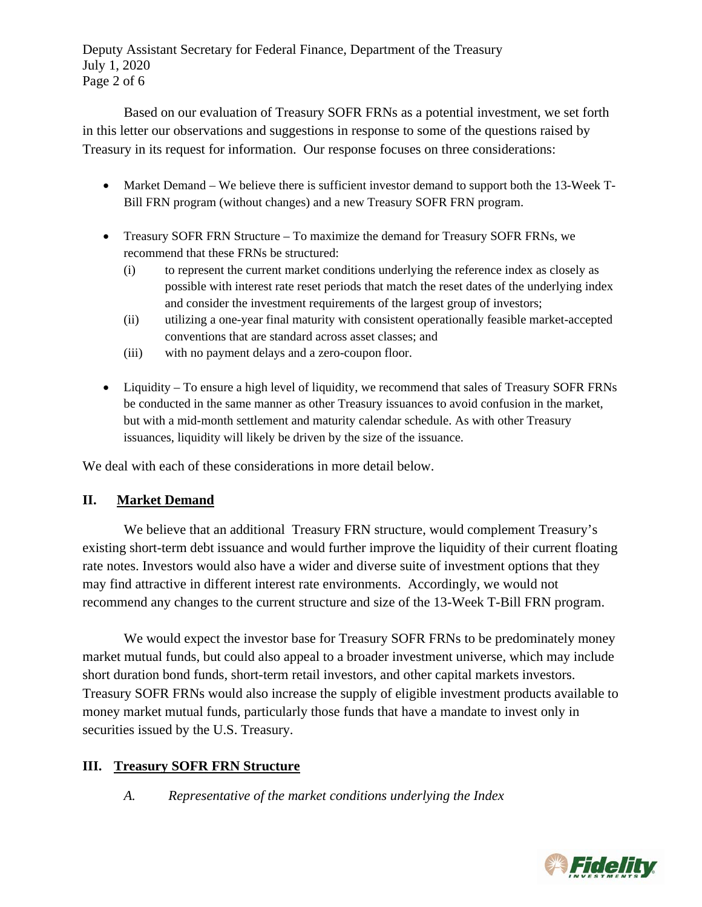Deputy Assistant Secretary for Federal Finance, Department of the Treasury July 1, 2020 Page 2 of 6

Based on our evaluation of Treasury SOFR FRNs as a potential investment, we set forth in this letter our observations and suggestions in response to some of the questions raised by Treasury in its request for information. Our response focuses on three considerations:

- Market Demand We believe there is sufficient investor demand to support both the 13-Week T-Bill FRN program (without changes) and a new Treasury SOFR FRN program.
- Treasury SOFR FRN Structure To maximize the demand for Treasury SOFR FRNs, we recommend that these FRNs be structured:
	- (i) to represent the current market conditions underlying the reference index as closely as possible with interest rate reset periods that match the reset dates of the underlying index and consider the investment requirements of the largest group of investors;
	- (ii) utilizing a one-year final maturity with consistent operationally feasible market-accepted conventions that are standard across asset classes; and
	- (iii) with no payment delays and a zero-coupon floor.
- Liquidity To ensure a high level of liquidity, we recommend that sales of Treasury SOFR FRNs be conducted in the same manner as other Treasury issuances to avoid confusion in the market, but with a mid-month settlement and maturity calendar schedule. As with other Treasury issuances, liquidity will likely be driven by the size of the issuance.

We deal with each of these considerations in more detail below.

# **II. Market Demand**

We believe that an additional Treasury FRN structure, would complement Treasury's existing short-term debt issuance and would further improve the liquidity of their current floating rate notes. Investors would also have a wider and diverse suite of investment options that they may find attractive in different interest rate environments. Accordingly, we would not recommend any changes to the current structure and size of the 13-Week T-Bill FRN program.

We would expect the investor base for Treasury SOFR FRNs to be predominately money market mutual funds, but could also appeal to a broader investment universe, which may include short duration bond funds, short-term retail investors, and other capital markets investors. Treasury SOFR FRNs would also increase the supply of eligible investment products available to money market mutual funds, particularly those funds that have a mandate to invest only in securities issued by the U.S. Treasury.

# **III. Treasury SOFR FRN Structure**

*A. Representative of the market conditions underlying the Index*

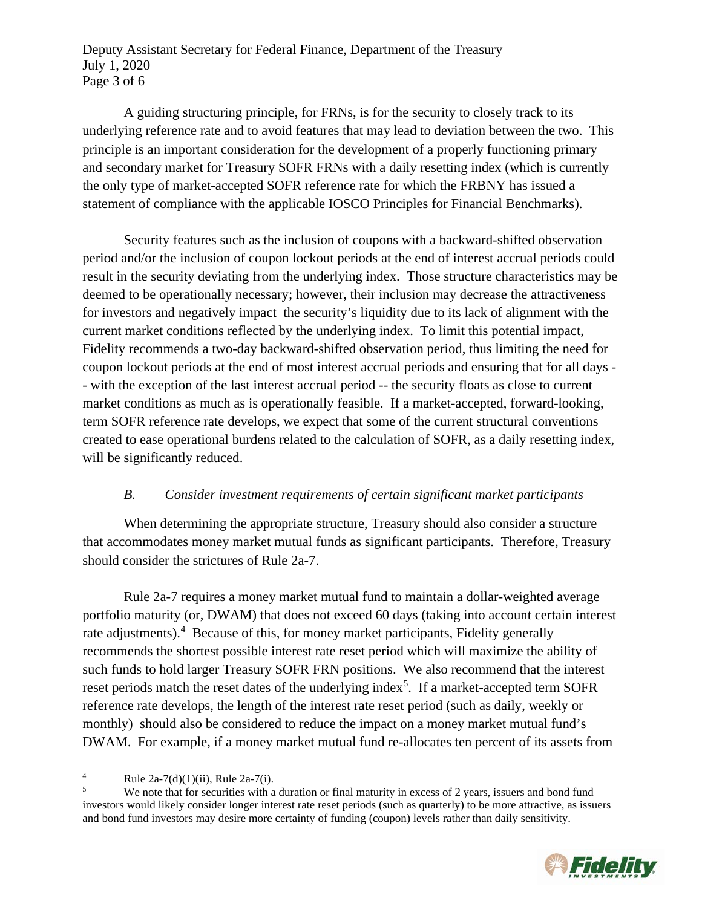Deputy Assistant Secretary for Federal Finance, Department of the Treasury July 1, 2020 Page 3 of 6

A guiding structuring principle, for FRNs, is for the security to closely track to its underlying reference rate and to avoid features that may lead to deviation between the two. This principle is an important consideration for the development of a properly functioning primary and secondary market for Treasury SOFR FRNs with a daily resetting index (which is currently the only type of market-accepted SOFR reference rate for which the FRBNY has issued a statement of compliance with the applicable IOSCO Principles for Financial Benchmarks).

Security features such as the inclusion of coupons with a backward-shifted observation period and/or the inclusion of coupon lockout periods at the end of interest accrual periods could result in the security deviating from the underlying index. Those structure characteristics may be deemed to be operationally necessary; however, their inclusion may decrease the attractiveness for investors and negatively impact the security's liquidity due to its lack of alignment with the current market conditions reflected by the underlying index. To limit this potential impact, Fidelity recommends a two-day backward-shifted observation period, thus limiting the need for coupon lockout periods at the end of most interest accrual periods and ensuring that for all days - - with the exception of the last interest accrual period -- the security floats as close to current market conditions as much as is operationally feasible. If a market-accepted, forward-looking, term SOFR reference rate develops, we expect that some of the current structural conventions created to ease operational burdens related to the calculation of SOFR, as a daily resetting index, will be significantly reduced.

## *B. Consider investment requirements of certain significant market participants*

When determining the appropriate structure, Treasury should also consider a structure that accommodates money market mutual funds as significant participants. Therefore, Treasury should consider the strictures of Rule 2a-7.

Rule 2a-7 requires a money market mutual fund to maintain a dollar-weighted average portfolio maturity (or, DWAM) that does not exceed 60 days (taking into account certain interest rate adjustments).<sup>[4](#page-2-0)</sup> Because of this, for money market participants, Fidelity generally recommends the shortest possible interest rate reset period which will maximize the ability of such funds to hold larger Treasury SOFR FRN positions. We also recommend that the interest reset periods match the reset dates of the underlying index<sup>[5](#page-2-1)</sup>. If a market-accepted term SOFR reference rate develops, the length of the interest rate reset period (such as daily, weekly or monthly) should also be considered to reduce the impact on a money market mutual fund's DWAM. For example, if a money market mutual fund re-allocates ten percent of its assets from

<span id="page-2-1"></span><span id="page-2-0"></span><sup>&</sup>lt;sup>4</sup> Rule 2a-7(d)(1)(ii), Rule 2a-7(i).<br><sup>5</sup> We note that for securities with a duration or final maturity in excess of 2 years, issuers and bond fund investors would likely consider longer interest rate reset periods (such as quarterly) to be more attractive, as issuers and bond fund investors may desire more certainty of funding (coupon) levels rather than daily sensitivity.

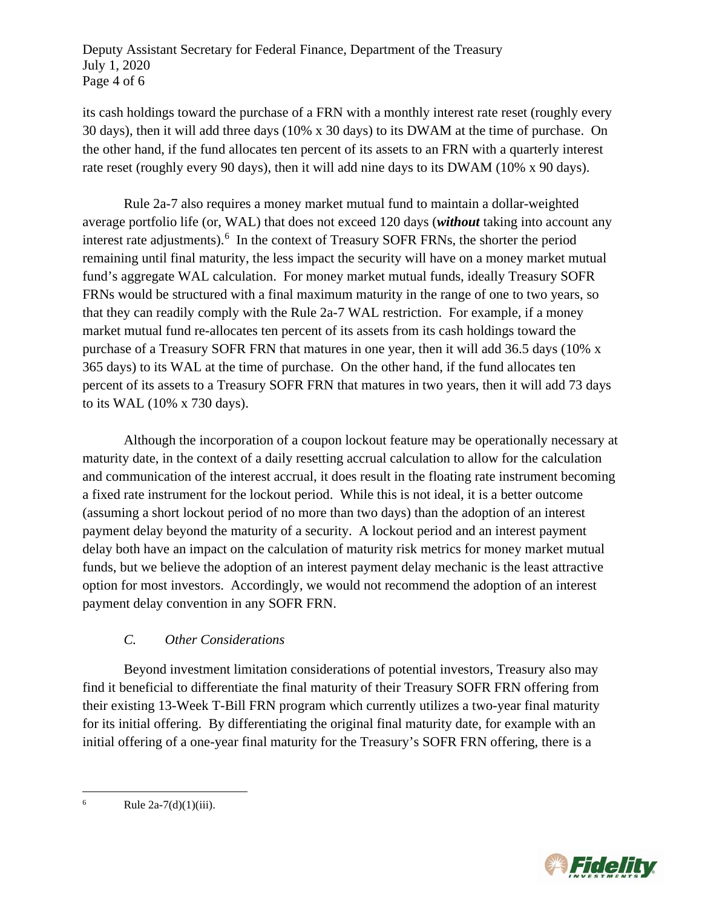Deputy Assistant Secretary for Federal Finance, Department of the Treasury July 1, 2020 Page 4 of 6

its cash holdings toward the purchase of a FRN with a monthly interest rate reset (roughly every 30 days), then it will add three days (10% x 30 days) to its DWAM at the time of purchase. On the other hand, if the fund allocates ten percent of its assets to an FRN with a quarterly interest rate reset (roughly every 90 days), then it will add nine days to its DWAM (10% x 90 days).

Rule 2a-7 also requires a money market mutual fund to maintain a dollar-weighted average portfolio life (or, WAL) that does not exceed 120 days (*without* taking into account any interest rate adjustments).<sup>[6](#page-3-0)</sup> In the context of Treasury SOFR FRNs, the shorter the period remaining until final maturity, the less impact the security will have on a money market mutual fund's aggregate WAL calculation. For money market mutual funds, ideally Treasury SOFR FRNs would be structured with a final maximum maturity in the range of one to two years, so that they can readily comply with the Rule 2a-7 WAL restriction. For example, if a money market mutual fund re-allocates ten percent of its assets from its cash holdings toward the purchase of a Treasury SOFR FRN that matures in one year, then it will add 36.5 days (10% x 365 days) to its WAL at the time of purchase. On the other hand, if the fund allocates ten percent of its assets to a Treasury SOFR FRN that matures in two years, then it will add 73 days to its WAL (10% x 730 days).

Although the incorporation of a coupon lockout feature may be operationally necessary at maturity date, in the context of a daily resetting accrual calculation to allow for the calculation and communication of the interest accrual, it does result in the floating rate instrument becoming a fixed rate instrument for the lockout period. While this is not ideal, it is a better outcome (assuming a short lockout period of no more than two days) than the adoption of an interest payment delay beyond the maturity of a security. A lockout period and an interest payment delay both have an impact on the calculation of maturity risk metrics for money market mutual funds, but we believe the adoption of an interest payment delay mechanic is the least attractive option for most investors. Accordingly, we would not recommend the adoption of an interest payment delay convention in any SOFR FRN.

## *C. Other Considerations*

Beyond investment limitation considerations of potential investors, Treasury also may find it beneficial to differentiate the final maturity of their Treasury SOFR FRN offering from their existing 13-Week T-Bill FRN program which currently utilizes a two-year final maturity for its initial offering. By differentiating the original final maturity date, for example with an initial offering of a one-year final maturity for the Treasury's SOFR FRN offering, there is a



<span id="page-3-0"></span> $6 \text{ Rule } 2a-7(d)(1)(iii).$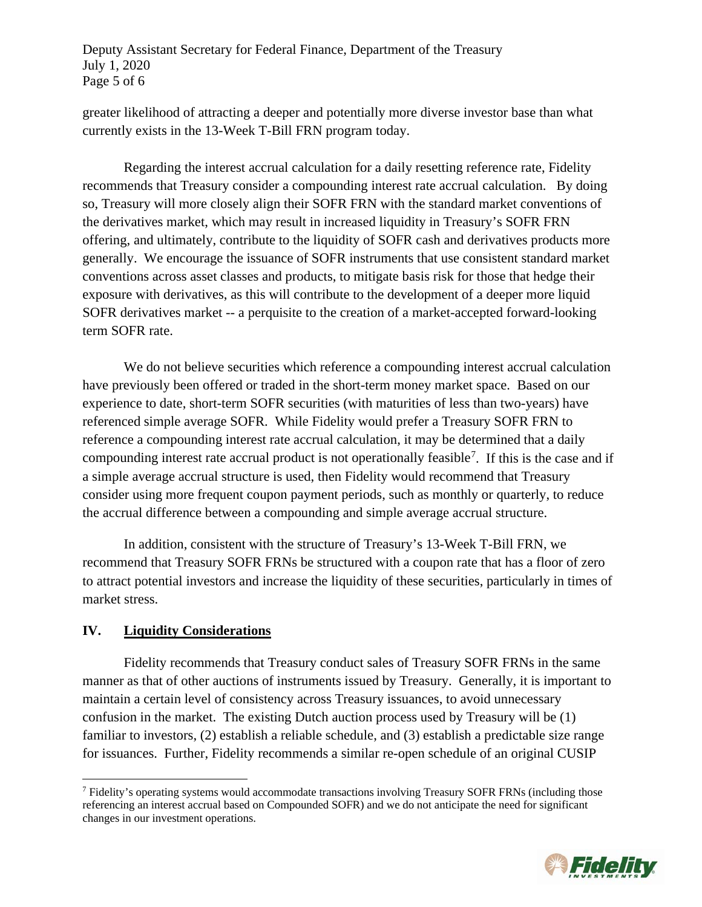Deputy Assistant Secretary for Federal Finance, Department of the Treasury July 1, 2020 Page 5 of 6

greater likelihood of attracting a deeper and potentially more diverse investor base than what currently exists in the 13-Week T-Bill FRN program today.

Regarding the interest accrual calculation for a daily resetting reference rate, Fidelity recommends that Treasury consider a compounding interest rate accrual calculation. By doing so, Treasury will more closely align their SOFR FRN with the standard market conventions of the derivatives market, which may result in increased liquidity in Treasury's SOFR FRN offering, and ultimately, contribute to the liquidity of SOFR cash and derivatives products more generally. We encourage the issuance of SOFR instruments that use consistent standard market conventions across asset classes and products, to mitigate basis risk for those that hedge their exposure with derivatives, as this will contribute to the development of a deeper more liquid SOFR derivatives market -- a perquisite to the creation of a market-accepted forward-looking term SOFR rate.

We do not believe securities which reference a compounding interest accrual calculation have previously been offered or traded in the short-term money market space. Based on our experience to date, short-term SOFR securities (with maturities of less than two-years) have referenced simple average SOFR. While Fidelity would prefer a Treasury SOFR FRN to reference a compounding interest rate accrual calculation, it may be determined that a daily compounding interest rate accrual product is not operationally feasible<sup>[7](#page-4-0)</sup>. If this is the case and if a simple average accrual structure is used, then Fidelity would recommend that Treasury consider using more frequent coupon payment periods, such as monthly or quarterly, to reduce the accrual difference between a compounding and simple average accrual structure.

In addition, consistent with the structure of Treasury's 13-Week T-Bill FRN, we recommend that Treasury SOFR FRNs be structured with a coupon rate that has a floor of zero to attract potential investors and increase the liquidity of these securities, particularly in times of market stress.

#### **IV. Liquidity Considerations**

Fidelity recommends that Treasury conduct sales of Treasury SOFR FRNs in the same manner as that of other auctions of instruments issued by Treasury. Generally, it is important to maintain a certain level of consistency across Treasury issuances, to avoid unnecessary confusion in the market. The existing Dutch auction process used by Treasury will be (1) familiar to investors, (2) establish a reliable schedule, and (3) establish a predictable size range for issuances. Further, Fidelity recommends a similar re-open schedule of an original CUSIP

<span id="page-4-0"></span><sup>7</sup> Fidelity's operating systems would accommodate transactions involving Treasury SOFR FRNs (including those referencing an interest accrual based on Compounded SOFR) and we do not anticipate the need for significant changes in our investment operations.